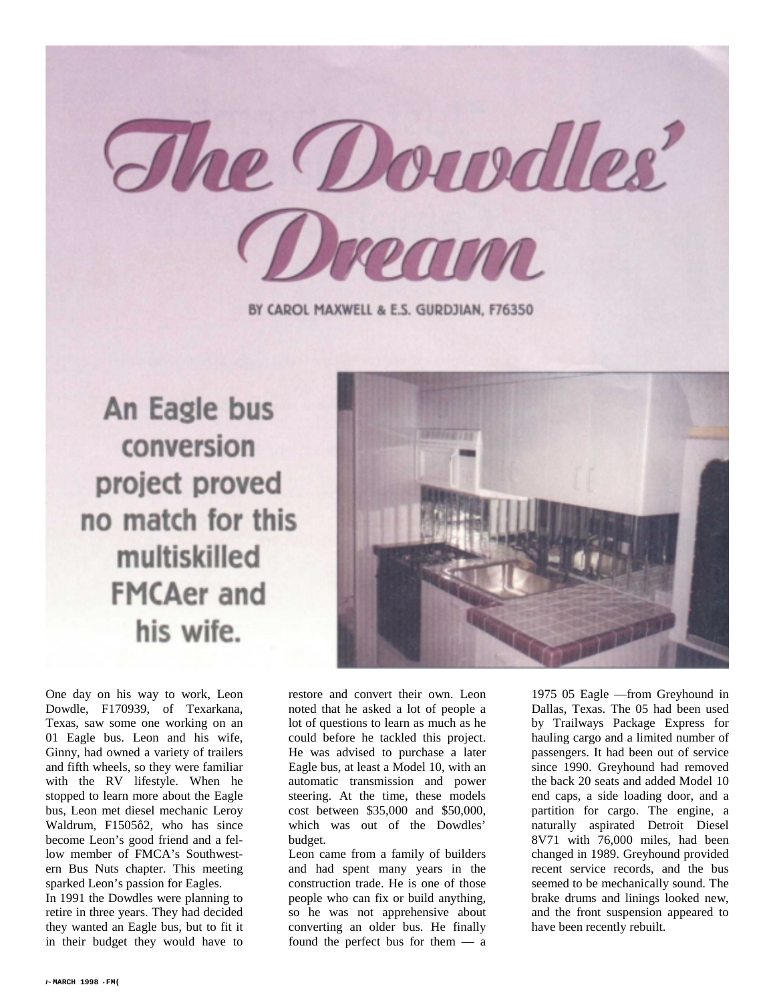

BY CAROL MAXWELL & E.S. GURDJIAN, F76350

An Eagle bus conversion project proved no match for this multiskilled **FMCAer and** his wife.



One day on his way to work, Leon Dowdle, F170939, of Texarkana, Texas, saw some one working on an 01 Eagle bus. Leon and his wife, Ginny, had owned a variety of trailers and fifth wheels, so they were familiar with the RV lifestyle. When he stopped to learn more about the Eagle bus, Leon met diesel mechanic Leroy Waldrum, F1505ô2, who has since become Leon's good friend and a fellow member of FMCA's Southwestern Bus Nuts chapter. This meeting sparked Leon's passion for Eagles.

In 1991 the Dowdles were planning to retire in three years. They had decided they wanted an Eagle bus, but to fit it in their budget they would have to

restore and convert their own. Leon noted that he asked a lot of people a lot of questions to learn as much as he could before he tackled this project. He was advised to purchase a later Eagle bus, at least a Model 10, with an automatic transmission and power steering. At the time, these models cost between \$35,000 and \$50,000, which was out of the Dowdles' budget.

Leon came from a family of builders and had spent many years in the construction trade. He is one of those people who can fix or build anything, so he was not apprehensive about converting an older bus. He finally found the perfect bus for them — a

1975 05 Eagle —from Greyhound in Dallas, Texas. The 05 had been used by Trailways Package Express for hauling cargo and a limited number of passengers. It had been out of service since 1990. Greyhound had removed the back 20 seats and added Model 10 end caps, a side loading door, and a partition for cargo. The engine, a naturally aspirated Detroit Diesel 8V71 with 76,000 miles, had been changed in 1989. Greyhound provided recent service records, and the bus seemed to be mechanically sound. The brake drums and linings looked new, and the front suspension appeared to have been recently rebuilt.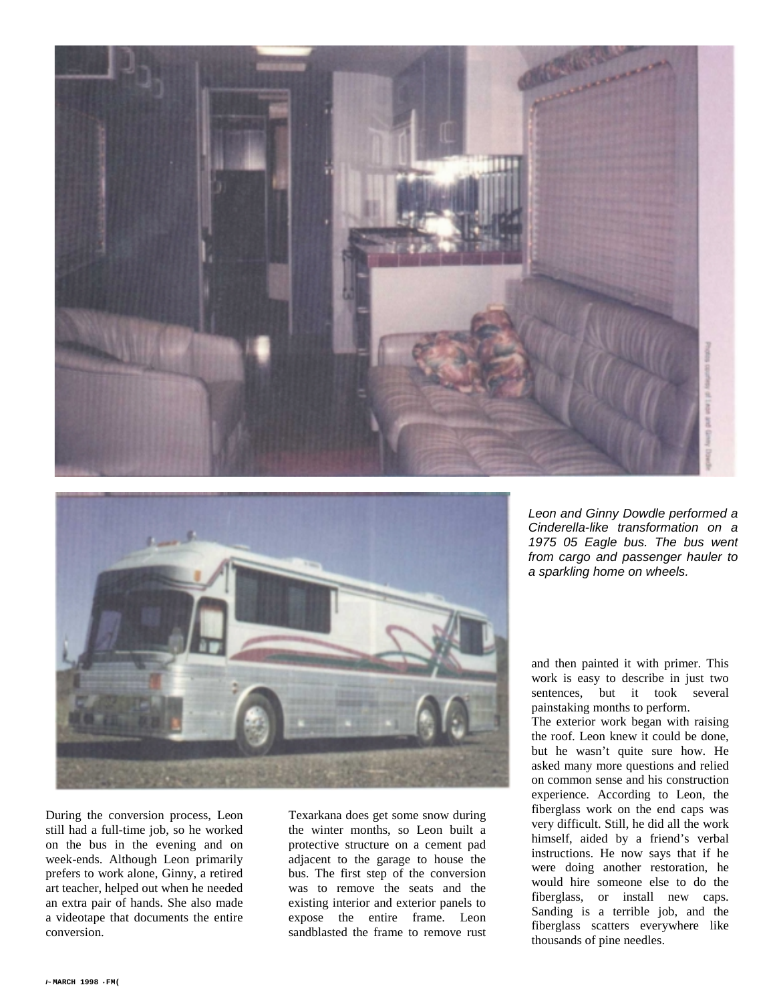



During the conversion process, Leon still had a full-time job, so he worked on the bus in the evening and on week-ends. Although Leon primarily prefers to work alone, Ginny, a retired art teacher, helped out when he needed an extra pair of hands. She also made a videotape that documents the entire conversion.

Texarkana does get some snow during the winter months, so Leon built a protective structure on a cement pad adjacent to the garage to house the bus. The first step of the conversion was to remove the seats and the existing interior and exterior panels to expose the entire frame. Leon sandblasted the frame to remove rust

*Leon and Ginny Dowdle performed a Cinderella-like transformation on a 1975 05 Eagle bus. The bus went from cargo and passenger hauler to a sparkling home on wheels.*

and then painted it with primer. This work is easy to describe in just two sentences, but it took several painstaking months to perform.

The exterior work began with raising the roof. Leon knew it could be done, but he wasn't quite sure how. He asked many more questions and relied on common sense and his construction experience. According to Leon, the fiberglass work on the end caps was very difficult. Still, he did all the work himself, aided by a friend's verbal instructions. He now says that if he were doing another restoration, he would hire someone else to do the fiberglass, or install new caps. Sanding is a terrible job, and the fiberglass scatters everywhere like thousands of pine needles.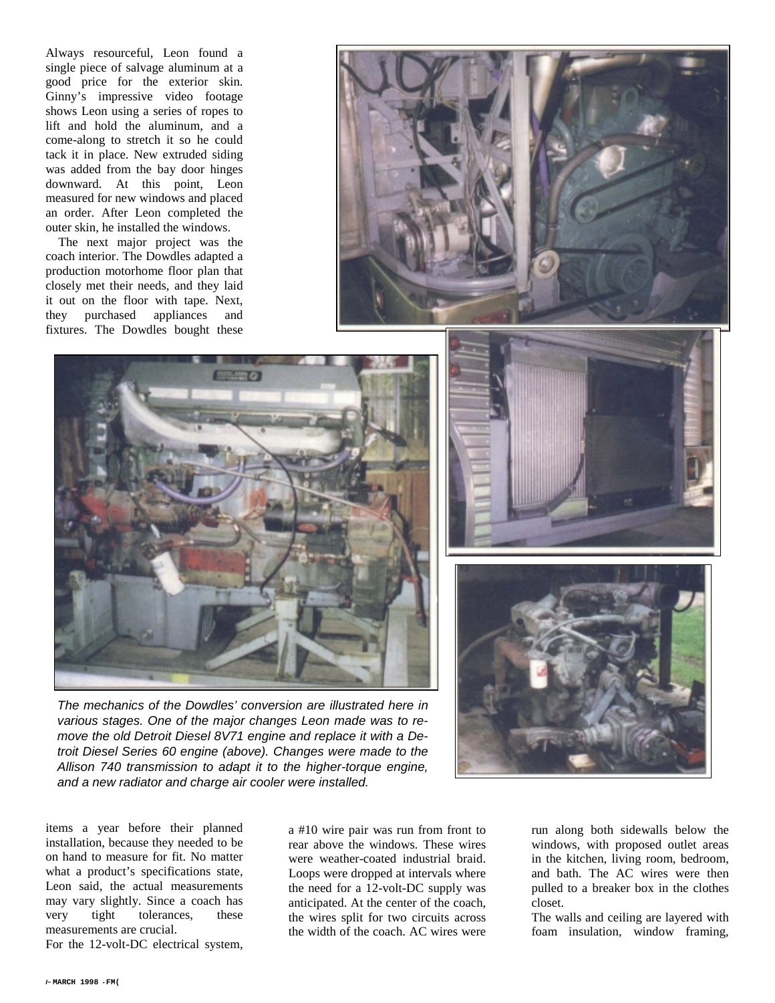Always resourceful, Leon found a single piece of salvage aluminum at a good price for the exterior skin. Ginny's impressive video footage shows Leon using a series of ropes to lift and hold the aluminum, and a come-along to stretch it so he could tack it in place. New extruded siding was added from the bay door hinges downward. At this point, Leon measured for new windows and placed an order. After Leon completed the outer skin, he installed the windows.

The next major project was the coach interior. The Dowdles adapted a production motorhome floor plan that closely met their needs, and they laid it out on the floor with tape. Next, they purchased appliances and fixtures. The Dowdles bought these







*The mechanics of the Dowdles' conversion are illustrated here in various stages. One of the major changes Leon made was to remove the old Detroit Diesel 8V71 engine and replace it with a Detroit Diesel Series 60 engine (above). Changes were made to the Allison 740 transmission to adapt it to the higher-torque engine, and a new radiator and charge air cooler were installed.*

items a year before their planned installation, because they needed to be on hand to measure for fit. No matter what a product's specifications state, Leon said, the actual measurements may vary slightly. Since a coach has very tight tolerances, these measurements are crucial.

For the 12-volt-DC electrical system,

a #10 wire pair was run from front to rear above the windows. These wires were weather-coated industrial braid. Loops were dropped at intervals where the need for a 12-volt-DC supply was anticipated. At the center of the coach, the wires split for two circuits across the width of the coach. AC wires were run along both sidewalls below the windows, with proposed outlet areas in the kitchen, living room, bedroom, and bath. The AC wires were then pulled to a breaker box in the clothes closet.

The walls and ceiling are layered with foam insulation, window framing,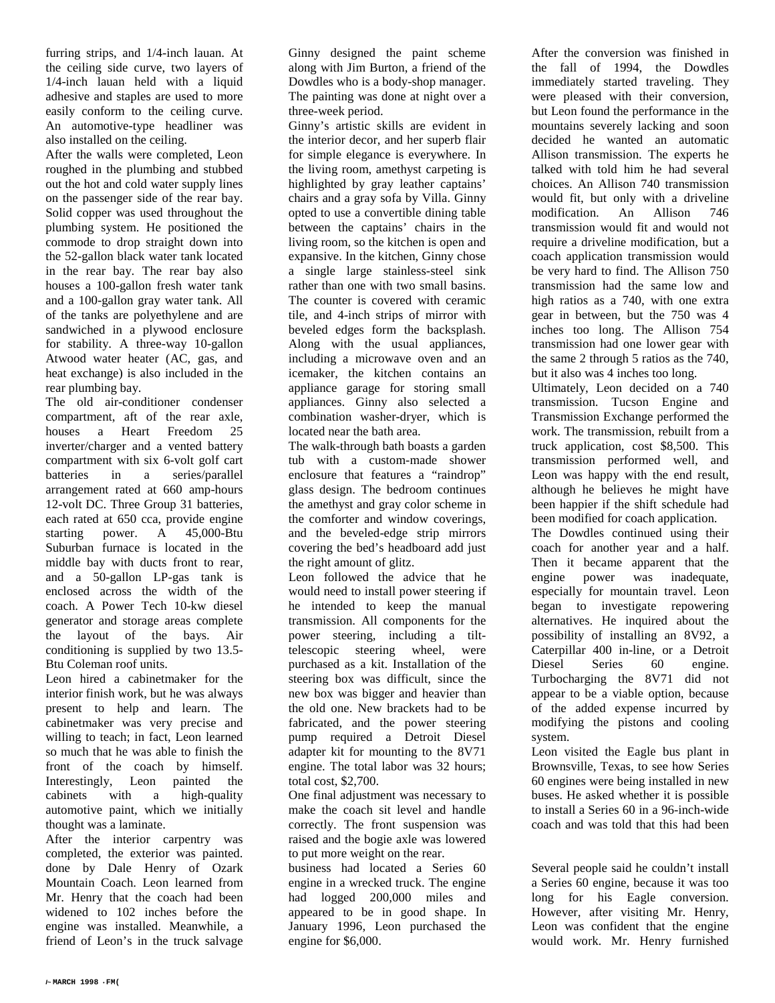furring strips, and 1/4-inch lauan. At the ceiling side curve, two layers of 1/4-inch lauan held with a liquid adhesive and staples are used to more easily conform to the ceiling curve. An automotive-type headliner was also installed on the ceiling.

After the walls were completed, Leon roughed in the plumbing and stubbed out the hot and cold water supply lines on the passenger side of the rear bay. Solid copper was used throughout the plumbing system. He positioned the commode to drop straight down into the 52-gallon black water tank located in the rear bay. The rear bay also houses a 100-gallon fresh water tank and a 100-gallon gray water tank. All of the tanks are polyethylene and are sandwiched in a plywood enclosure for stability. A three-way 10-gallon Atwood water heater (AC, gas, and heat exchange) is also included in the rear plumbing bay.

The old air-conditioner condenser compartment, aft of the rear axle, houses a Heart Freedom 25 inverter/charger and a vented battery compartment with six 6-volt golf cart batteries in a series/parallel arrangement rated at 660 amp-hours 12-volt DC. Three Group 31 batteries, each rated at 650 cca, provide engine starting power. A 45,000-Btu Suburban furnace is located in the middle bay with ducts front to rear, and a 50-gallon LP-gas tank is enclosed across the width of the coach. A Power Tech 10-kw diesel generator and storage areas complete the layout of the bays. Air conditioning is supplied by two 13.5- Btu Coleman roof units.

Leon hired a cabinetmaker for the interior finish work, but he was always present to help and learn. The cabinetmaker was very precise and willing to teach; in fact, Leon learned so much that he was able to finish the front of the coach by himself. Interestingly, Leon painted the cabinets with a high-quality automotive paint, which we initially thought was a laminate.

After the interior carpentry was completed, the exterior was painted. done by Dale Henry of Ozark Mountain Coach. Leon learned from Mr. Henry that the coach had been widened to 102 inches before the engine was installed. Meanwhile, a friend of Leon's in the truck salvage

Ginny designed the paint scheme along with Jim Burton, a friend of the Dowdles who is a body-shop manager. The painting was done at night over a three-week period.

Ginny's artistic skills are evident in the interior decor, and her superb flair for simple elegance is everywhere. In the living room, amethyst carpeting is highlighted by gray leather captains' chairs and a gray sofa by Villa. Ginny opted to use a convertible dining table between the captains' chairs in the living room, so the kitchen is open and expansive. In the kitchen, Ginny chose a single large stainless-steel sink rather than one with two small basins. The counter is covered with ceramic tile, and 4-inch strips of mirror with beveled edges form the backsplash. Along with the usual appliances, including a microwave oven and an icemaker, the kitchen contains an appliance garage for storing small appliances. Ginny also selected a combination washer-dryer, which is located near the bath area.

The walk-through bath boasts a garden tub with a custom-made shower enclosure that features a "raindrop" glass design. The bedroom continues the amethyst and gray color scheme in the comforter and window coverings, and the beveled-edge strip mirrors covering the bed's headboard add just the right amount of glitz.

Leon followed the advice that he would need to install power steering if he intended to keep the manual transmission. All components for the power steering, including a tilttelescopic steering wheel, were purchased as a kit. Installation of the steering box was difficult, since the new box was bigger and heavier than the old one. New brackets had to be fabricated, and the power steering pump required a Detroit Diesel adapter kit for mounting to the 8V71 engine. The total labor was 32 hours; total cost, \$2,700.

One final adjustment was necessary to make the coach sit level and handle correctly. The front suspension was raised and the bogie axle was lowered to put more weight on the rear.

business had located a Series 60 engine in a wrecked truck. The engine had logged 200,000 miles and appeared to be in good shape. In January 1996, Leon purchased the engine for \$6,000.

After the conversion was finished in the fall of 1994, the Dowdles immediately started traveling. They were pleased with their conversion, but Leon found the performance in the mountains severely lacking and soon decided he wanted an automatic Allison transmission. The experts he talked with told him he had several choices. An Allison 740 transmission would fit, but only with a driveline modification. An Allison 746 transmission would fit and would not require a driveline modification, but a coach application transmission would be very hard to find. The Allison 750 transmission had the same low and high ratios as a 740, with one extra gear in between, but the 750 was 4 inches too long. The Allison 754 transmission had one lower gear with the same 2 through 5 ratios as the 740, but it also was 4 inches too long.

Ultimately, Leon decided on a 740 transmission. Tucson Engine and Transmission Exchange performed the work. The transmission, rebuilt from a truck application, cost \$8,500. This transmission performed well, and Leon was happy with the end result, although he believes he might have been happier if the shift schedule had been modified for coach application.

The Dowdles continued using their coach for another year and a half. Then it became apparent that the engine power was inadequate, especially for mountain travel. Leon began to investigate repowering alternatives. He inquired about the possibility of installing an 8V92, a Caterpillar 400 in-line, or a Detroit Diesel Series 60 engine. Turbocharging the 8V71 did not appear to be a viable option, because of the added expense incurred by modifying the pistons and cooling system.

Leon visited the Eagle bus plant in Brownsville, Texas, to see how Series 60 engines were being installed in new buses. He asked whether it is possible to install a Series 60 in a 96-inch-wide coach and was told that this had been

Several people said he couldn't install a Series 60 engine, because it was too long for his Eagle conversion. However, after visiting Mr. Henry, Leon was confident that the engine would work. Mr. Henry furnished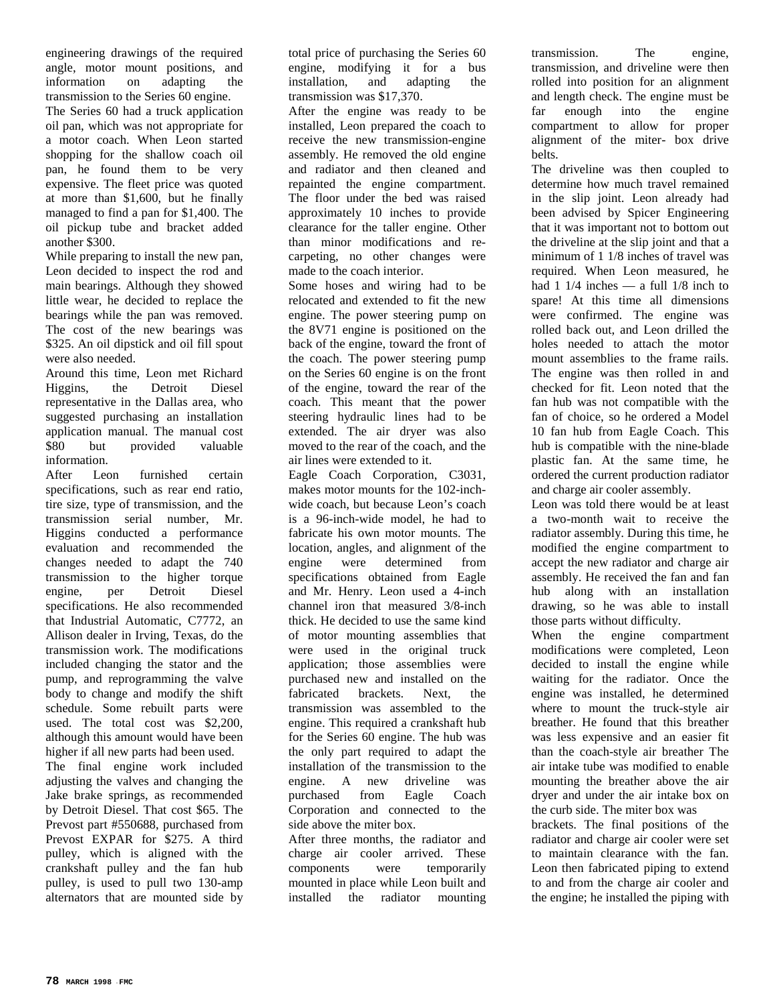engineering drawings of the required angle, motor mount positions, and information on adapting the transmission to the Series 60 engine. The Series 60 had a truck application oil pan, which was not appropriate for a motor coach. When Leon started shopping for the shallow coach oil pan, he found them to be very expensive. The fleet price was quoted at more than \$1,600, but he finally managed to find a pan for \$1,400. The oil pickup tube and bracket added another \$300.

While preparing to install the new pan, Leon decided to inspect the rod and main bearings. Although they showed little wear, he decided to replace the bearings while the pan was removed. The cost of the new bearings was \$325. An oil dipstick and oil fill spout were also needed.

Around this time, Leon met Richard Higgins, the Detroit Diesel representative in the Dallas area, who suggested purchasing an installation application manual. The manual cost \$80 but provided valuable information.

After Leon furnished certain specifications, such as rear end ratio, tire size, type of transmission, and the transmission serial number, Mr. Higgins conducted a performance evaluation and recommended the changes needed to adapt the 740 transmission to the higher torque engine, per Detroit Diesel specifications. He also recommended that Industrial Automatic, C7772, an Allison dealer in Irving, Texas, do the transmission work. The modifications included changing the stator and the pump, and reprogramming the valve body to change and modify the shift schedule. Some rebuilt parts were used. The total cost was \$2,200, although this amount would have been higher if all new parts had been used. The final engine work included adjusting the valves and changing the Jake brake springs, as recommended by Detroit Diesel. That cost \$65. The Prevost part #550688, purchased from Prevost EXPAR for \$275. A third pulley, which is aligned with the crankshaft pulley and the fan hub pulley, is used to pull two 130-amp alternators that are mounted side by

total price of purchasing the Series 60 engine, modifying it for a bus installation, and adapting the transmission was \$17,370.

After the engine was ready to be installed, Leon prepared the coach to receive the new transmission-engine assembly. He removed the old engine and radiator and then cleaned and repainted the engine compartment. The floor under the bed was raised approximately 10 inches to provide clearance for the taller engine. Other than minor modifications and recarpeting, no other changes were made to the coach interior.

Some hoses and wiring had to be relocated and extended to fit the new engine. The power steering pump on the 8V71 engine is positioned on the back of the engine, toward the front of the coach. The power steering pump on the Series 60 engine is on the front of the engine, toward the rear of the coach. This meant that the power steering hydraulic lines had to be extended. The air dryer was also moved to the rear of the coach, and the air lines were extended to it.

Eagle Coach Corporation, C3031, makes motor mounts for the 102-inchwide coach, but because Leon's coach is a 96-inch-wide model, he had to fabricate his own motor mounts. The location, angles, and alignment of the engine were determined from specifications obtained from Eagle and Mr. Henry. Leon used a 4-inch channel iron that measured 3/8-inch thick. He decided to use the same kind of motor mounting assemblies that were used in the original truck application; those assemblies were purchased new and installed on the fabricated brackets. Next, the transmission was assembled to the engine. This required a crankshaft hub for the Series 60 engine. The hub was the only part required to adapt the installation of the transmission to the engine. A new driveline was purchased from Eagle Coach Corporation and connected to the side above the miter box.

After three months, the radiator and charge air cooler arrived. These components were temporarily mounted in place while Leon built and installed the radiator mounting

transmission. The engine, transmission, and driveline were then rolled into position for an alignment and length check. The engine must be far enough into the engine compartment to allow for proper alignment of the miter- box drive belts.

The driveline was then coupled to determine how much travel remained in the slip joint. Leon already had been advised by Spicer Engineering that it was important not to bottom out the driveline at the slip joint and that a minimum of 1 1/8 inches of travel was required. When Leon measured, he had 1  $1/4$  inches — a full  $1/8$  inch to spare! At this time all dimensions were confirmed. The engine was rolled back out, and Leon drilled the holes needed to attach the motor mount assemblies to the frame rails. The engine was then rolled in and checked for fit. Leon noted that the fan hub was not compatible with the fan of choice, so he ordered a Model 10 fan hub from Eagle Coach. This hub is compatible with the nine-blade plastic fan. At the same time, he ordered the current production radiator and charge air cooler assembly.

Leon was told there would be at least a two-month wait to receive the radiator assembly. During this time, he modified the engine compartment to accept the new radiator and charge air assembly. He received the fan and fan hub along with an installation drawing, so he was able to install those parts without difficulty.

When the engine compartment modifications were completed, Leon decided to install the engine while waiting for the radiator. Once the engine was installed, he determined where to mount the truck-style air breather. He found that this breather was less expensive and an easier fit than the coach-style air breather The air intake tube was modified to enable mounting the breather above the air dryer and under the air intake box on the curb side. The miter box was

brackets. The final positions of the radiator and charge air cooler were set to maintain clearance with the fan. Leon then fabricated piping to extend to and from the charge air cooler and the engine; he installed the piping with